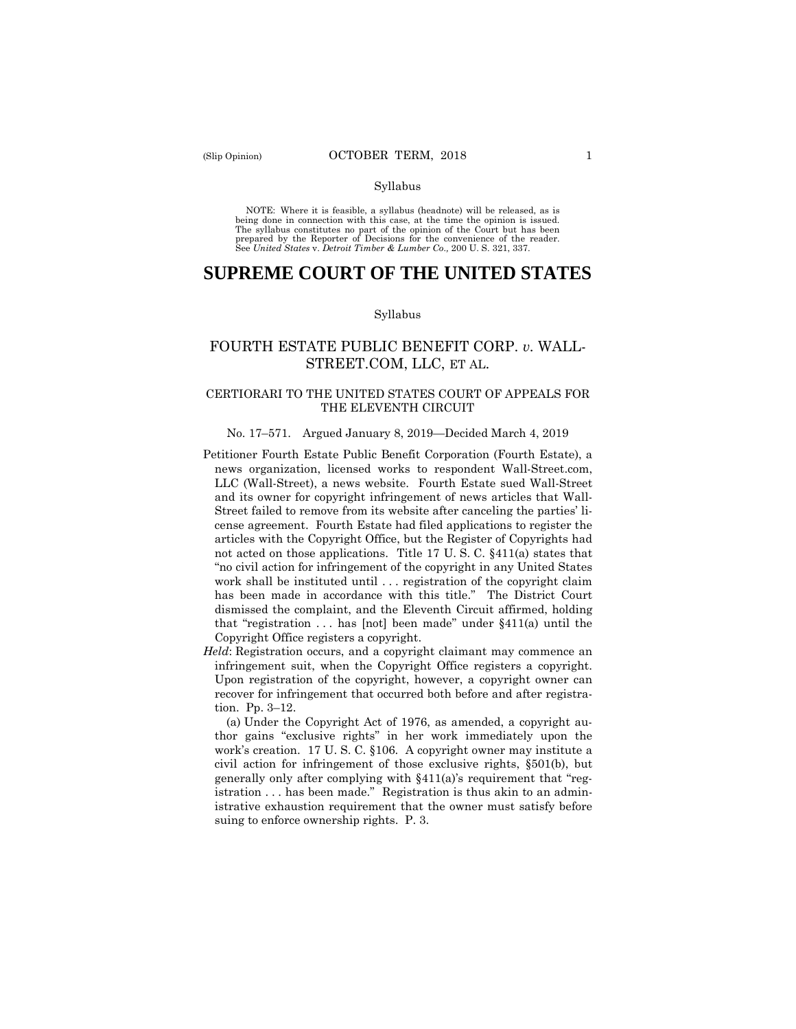#### Syllabus

 NOTE: Where it is feasible, a syllabus (headnote) will be released, as is being done in connection with this case, at the time the opinion is issued. The syllabus constitutes no part of the opinion of the Court but has been<br>prepared by the Reporter of Decisions for the convenience of the reader.<br>See United States v. Detroit Timber & Lumber Co., 200 U. S. 321, 337.

# **SUPREME COURT OF THE UNITED STATES**

### Syllabus

## [STREET.COM,](https://STREET.COM) LLC, ET AL. FOURTH ESTATE PUBLIC BENEFIT CORP. *v.* WALL-

## CERTIORARI TO THE UNITED STATES COURT OF APPEALS FOR THE ELEVENTH CIRCUIT

### No. 17–571. Argued January 8, 2019—Decided March 4, 2019

- and its owner for copyright infringement of news articles that Wall- Street failed to remove from its website after canceling the parties' li- cense agreement. Fourth Estate had filed applications to register the articles with the Copyright Office, but the Register of Copyrights had not acted on those applications. Title 17 U. S. C. §411(a) states that "no civil action for infringement of the copyright in any United States work shall be instituted until . . . registration of the copyright claim has been made in accordance with this title." The District Court dismissed the complaint, and the Eleventh Circuit affirmed, holding that "registration . . . has [not] been made" under §411(a) until the Petitioner Fourth Estate Public Benefit Corporation (Fourth Estate), a news organization, licensed works to respondent [Wall-Street.com](https://Wall-Street.com), LLC (Wall-Street), a news website. Fourth Estate sued Wall-Street Copyright Office registers a copyright.
- infringement suit, when the Copyright Office registers a copyright. tion. Pp. 3–12. *Held*: Registration occurs, and a copyright claimant may commence an Upon registration of the copyright, however, a copyright owner can recover for infringement that occurred both before and after registra-

 work's creation. 17 U. S. C. §106. A copyright owner may institute a civil action for infringement of those exclusive rights, §501(b), but istration . . . has been made." Registration is thus akin to an admin- istrative exhaustion requirement that the owner must satisfy before suing to enforce ownership rights. P. 3. (a) Under the Copyright Act of 1976, as amended, a copyright author gains "exclusive rights" in her work immediately upon the generally only after complying with §411(a)'s requirement that "reg-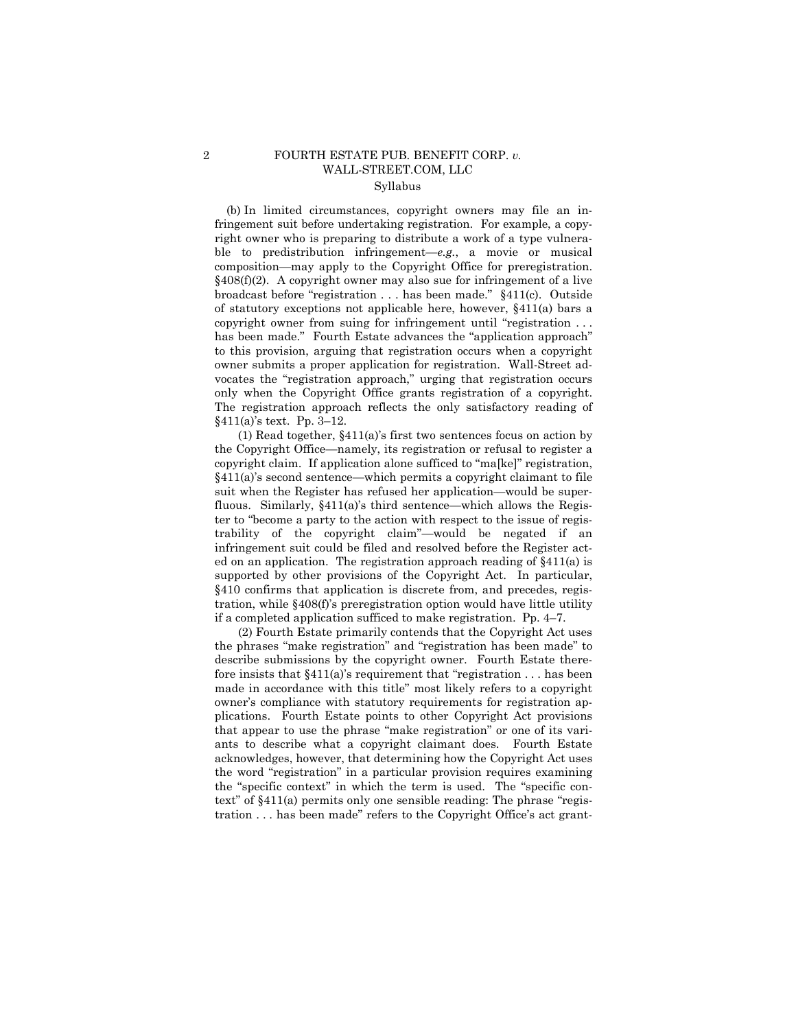### 2 FOURTH ESTATE PUB. BENEFIT CORP. *v.*  [WALL-STREET.COM](https://WALL-STREET.COM), LLC Syllabus

 fringement suit before undertaking registration. For example, a copycomposition—may apply to the Copyright Office for preregistration. composition—may apply to the Copyright Office for preregistration. §408(f)(2). A copyright owner may also sue for infringement of a live broadcast before "registration . . . has been made." §411(c). Outside of statutory exceptions not applicable here, however, §411(a) bars a copyright owner from suing for infringement until "registration . . . to this provision, arguing that registration occurs when a copyright owner submits a proper application for registration. Wall-Street ad- only when the Copyright Office grants registration of a copyright. §411(a)'s text. Pp. 3–12. (b) In limited circumstances, copyright owners may file an inright owner who is preparing to distribute a work of a type vulnerable to predistribution infringement—*e.g.*, a movie or musical has been made." Fourth Estate advances the "application approach" vocates the "registration approach," urging that registration occurs The registration approach reflects the only satisfactory reading of

 copyright claim. If application alone sufficed to "ma[ke]" registration, fluous. Similarly, §411(a)'s third sentence—which allows the Regis- ed on an application. The registration approach reading of §411(a) is supported by other provisions of the Copyright Act. In particular, if a completed application sufficed to make registration. Pp. 4–7. (1) Read together, §411(a)'s first two sentences focus on action by the Copyright Office—namely, its registration or refusal to register a §411(a)'s second sentence—which permits a copyright claimant to file suit when the Register has refused her application—would be superter to "become a party to the action with respect to the issue of registrability of the copyright claim"—would be negated if an infringement suit could be filed and resolved before the Register act-§410 confirms that application is discrete from, and precedes, registration, while §408(f)'s preregistration option would have little utility

 describe submissions by the copyright owner. Fourth Estate there- fore insists that §411(a)'s requirement that "registration . . . has been plications. Fourth Estate points to other Copyright Act provisions that appear to use the phrase "make registration" or one of its vari- ants to describe what a copyright claimant does. Fourth Estate tration . . . has been made" refers to the Copyright Office's act grant-(2) Fourth Estate primarily contends that the Copyright Act uses the phrases "make registration" and "registration has been made" to made in accordance with this title" most likely refers to a copyright owner's compliance with statutory requirements for registration apacknowledges, however, that determining how the Copyright Act uses the word "registration" in a particular provision requires examining the "specific context" in which the term is used. The "specific context" of §411(a) permits only one sensible reading: The phrase "regis-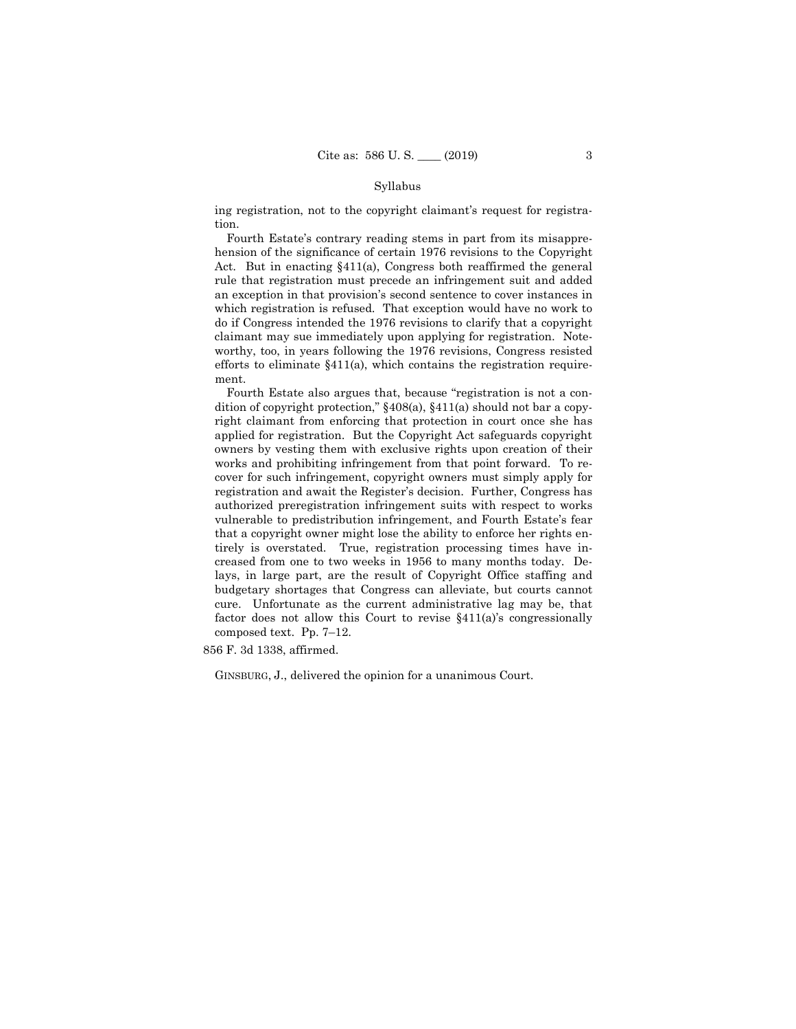#### Syllabus

 ing registration, not to the copyright claimant's request for registra-tion. Fourth Estate's contrary reading stems in part from its misappre-

 which registration is refused. That exception would have no work to do if Congress intended the 1976 revisions to clarify that a copyright claimant may sue immediately upon applying for registration. Note- worthy, too, in years following the 1976 revisions, Congress resisted efforts to eliminate §411(a), which contains the registration requirehension of the significance of certain 1976 revisions to the Copyright Act. But in enacting §411(a), Congress both reaffirmed the general rule that registration must precede an infringement suit and added an exception in that provision's second sentence to cover instances in ment.

 Fourth Estate also argues that, because "registration is not a con- dition of copyright protection," §408(a), §411(a) should not bar a copy- right claimant from enforcing that protection in court once she has applied for registration. But the Copyright Act safeguards copyright works and prohibiting infringement from that point forward. To re- cover for such infringement, copyright owners must simply apply for registration and await the Register's decision. Further, Congress has vulnerable to predistribution infringement, and Fourth Estate's fear that a copyright owner might lose the ability to enforce her rights en- lays, in large part, are the result of Copyright Office staffing and composed text. Pp. 7-12. owners by vesting them with exclusive rights upon creation of their authorized preregistration infringement suits with respect to works tirely is overstated. True, registration processing times have increased from one to two weeks in 1956 to many months today. Debudgetary shortages that Congress can alleviate, but courts cannot cure. Unfortunate as the current administrative lag may be, that factor does not allow this Court to revise §411(a)'s congressionally

856 F. 3d 1338, affirmed.

GINSBURG, J., delivered the opinion for a unanimous Court.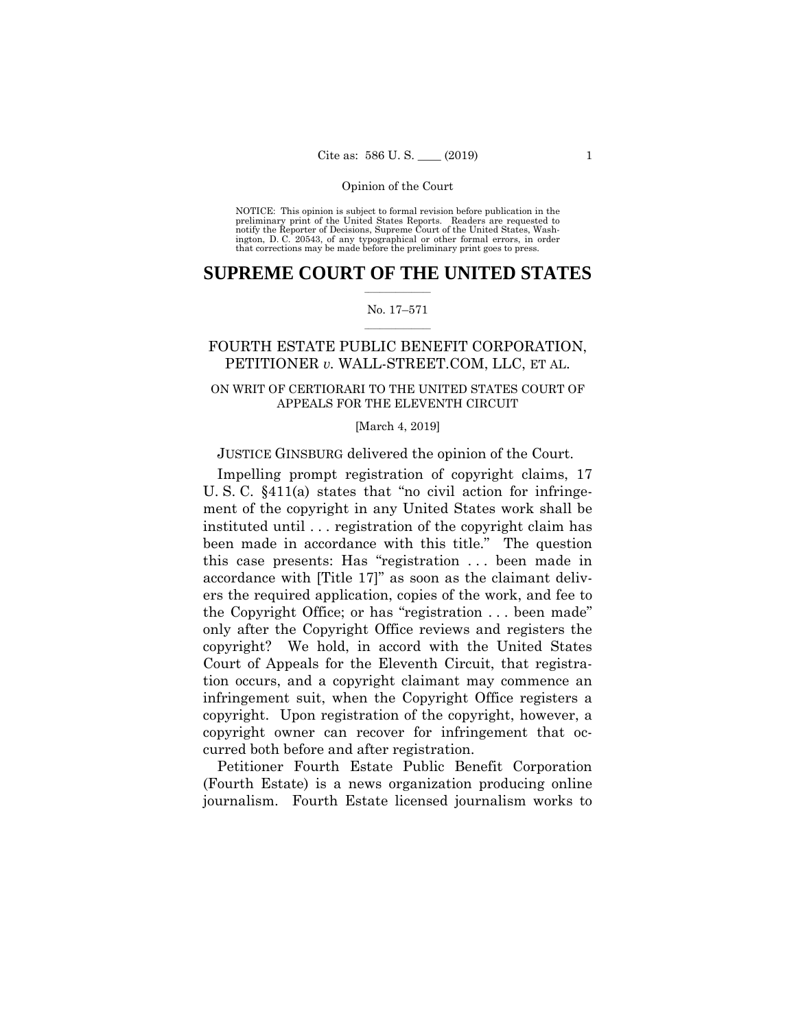preliminary print of the United States Reports. Readers are requested to notify the Reporter of Decisions, Supreme Court of the United States, Wash- ington, D. C. 20543, of any typographical or other formal errors, in order that corrections may be made before the preliminary print goes to press. NOTICE: This opinion is subject to formal revision before publication in the

## $\frac{1}{2}$  ,  $\frac{1}{2}$  ,  $\frac{1}{2}$  ,  $\frac{1}{2}$  ,  $\frac{1}{2}$  ,  $\frac{1}{2}$  ,  $\frac{1}{2}$ **SUPREME COURT OF THE UNITED STATES**

### $\frac{1}{2}$  ,  $\frac{1}{2}$  ,  $\frac{1}{2}$  ,  $\frac{1}{2}$  ,  $\frac{1}{2}$  ,  $\frac{1}{2}$ No. 17–571

## FOURTH ESTATE PUBLIC BENEFIT CORPORATION, PETITIONER *v.* [WALL-STREET.COM,](https://WALL-STREET.COM) LLC, ET AL.

## ON WRIT OF CERTIORARI TO THE UNITED STATES COURT OF APPEALS FOR THE ELEVENTH CIRCUIT

### [March 4, 2019]

## JUSTICE GINSBURG delivered the opinion of the Court.

Impelling prompt registration of copyright claims, 17 U. S. C. §411(a) states that "no civil action for infringement of the copyright in any United States work shall be instituted until . . . registration of the copyright claim has been made in accordance with this title." The question this case presents: Has "registration . . . been made in accordance with [Title 17]" as soon as the claimant delivers the required application, copies of the work, and fee to the Copyright Office; or has "registration . . . been made" only after the Copyright Office reviews and registers the copyright? We hold, in accord with the United States Court of Appeals for the Eleventh Circuit, that registration occurs, and a copyright claimant may commence an infringement suit, when the Copyright Office registers a copyright. Upon registration of the copyright, however, a copyright owner can recover for infringement that occurred both before and after registration.

Petitioner Fourth Estate Public Benefit Corporation (Fourth Estate) is a news organization producing online journalism. Fourth Estate licensed journalism works to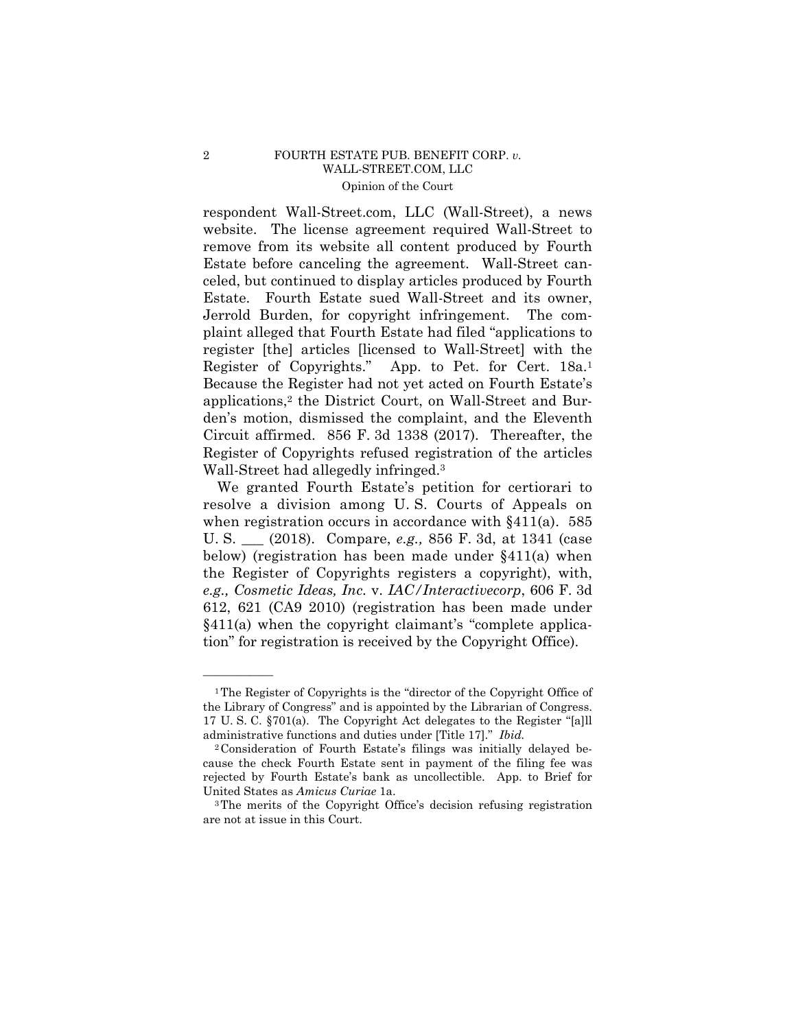## 2 FOURTH ESTATE PUB. BENEFIT CORP. *v.*  [WALL-STREET.COM](https://WALL-STREET.COM), LLC Opinion of the Court

respondent [Wall-Street.com,](https://Wall-Street.com) LLC (Wall-Street), a news website. The license agreement required Wall-Street to remove from its website all content produced by Fourth Estate before canceling the agreement. Wall-Street canceled, but continued to display articles produced by Fourth Estate. Fourth Estate sued Wall-Street and its owner, Jerrold Burden, for copyright infringement. The complaint alleged that Fourth Estate had filed "applications to register [the] articles [licensed to Wall-Street] with the Register of Copyrights." App. to Pet. for Cert. 18a.1 Because the Register had not yet acted on Fourth Estate's applications,2 the District Court, on Wall-Street and Burden's motion, dismissed the complaint, and the Eleventh Circuit affirmed. 856 F. 3d 1338 (2017). Thereafter, the Register of Copyrights refused registration of the articles Wall-Street had allegedly infringed.3

 U. S. \_\_\_ (2018). Compare, *e.g.,* 856 F. 3d, at 1341 (case We granted Fourth Estate's petition for certiorari to resolve a division among U. S. Courts of Appeals on when registration occurs in accordance with §411(a). 585 below) (registration has been made under §411(a) when the Register of Copyrights registers a copyright), with, *e.g., Cosmetic Ideas, Inc.* v. *IAC/Interactivecorp*, 606 F. 3d 612, 621 (CA9 2010) (registration has been made under §411(a) when the copyright claimant's "complete application" for registration is received by the Copyright Office).

<sup>1</sup>The Register of Copyrights is the "director of the Copyright Office of the Library of Congress" and is appointed by the Librarian of Congress. 17 U. S. C. §701(a). The Copyright Act delegates to the Register "[a]ll administrative functions and duties under [Title 17]." *Ibid.* 

<sup>2</sup>Consideration of Fourth Estate's filings was initially delayed because the check Fourth Estate sent in payment of the filing fee was rejected by Fourth Estate's bank as uncollectible. App. to Brief for United States as *Amicus Curiae* 1a.<br><sup>3</sup>The merits of the Copyright Office's decision refusing registration

are not at issue in this Court.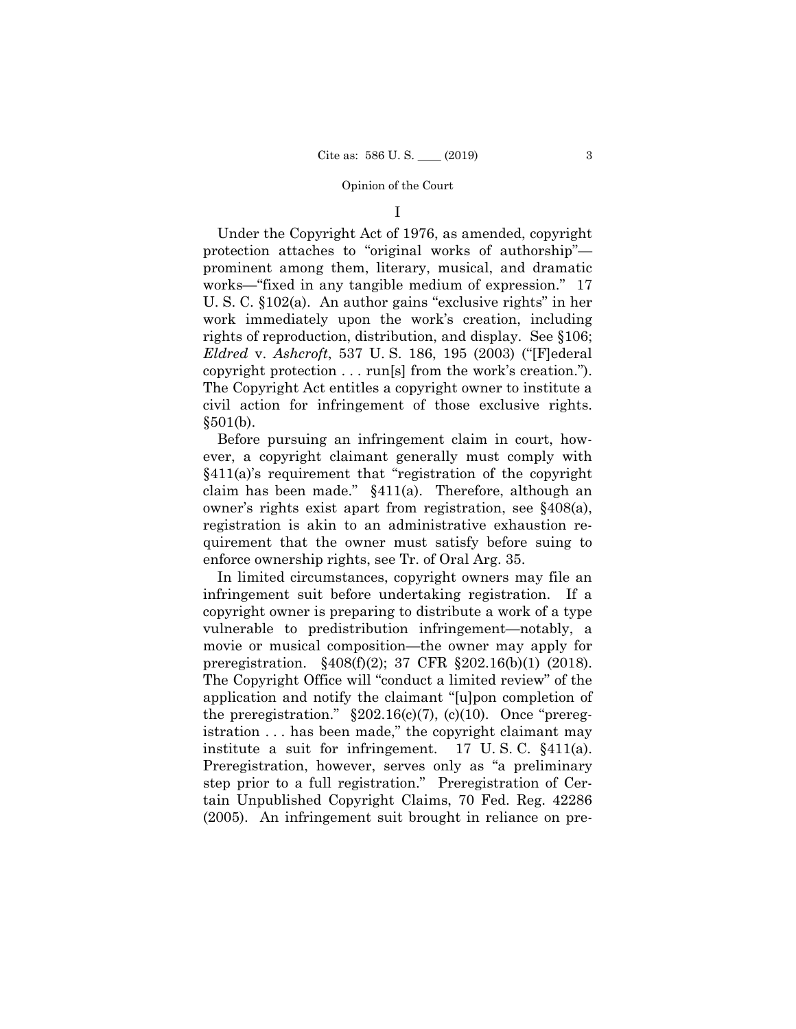I

 copyright protection . . . run[s] from the work's creation."). Under the Copyright Act of 1976, as amended, copyright protection attaches to "original works of authorship" prominent among them, literary, musical, and dramatic works—"fixed in any tangible medium of expression." 17 U. S. C. §102(a). An author gains "exclusive rights" in her work immediately upon the work's creation, including rights of reproduction, distribution, and display. See §106; *Eldred* v. *Ashcroft*, 537 U. S. 186, 195 (2003) ("[F]ederal The Copyright Act entitles a copyright owner to institute a civil action for infringement of those exclusive rights. §501(b).

Before pursuing an infringement claim in court, however, a copyright claimant generally must comply with §411(a)'s requirement that "registration of the copyright claim has been made." §411(a). Therefore, although an owner's rights exist apart from registration, see §408(a), registration is akin to an administrative exhaustion requirement that the owner must satisfy before suing to enforce ownership rights, see Tr. of Oral Arg. 35.

In limited circumstances, copyright owners may file an infringement suit before undertaking registration. If a copyright owner is preparing to distribute a work of a type vulnerable to predistribution infringement—notably, a movie or musical composition—the owner may apply for preregistration. §408(f)(2); 37 CFR §202.16(b)(1) (2018). The Copyright Office will "conduct a limited review" of the application and notify the claimant "[u]pon completion of the preregistration."  $\S 202.16(c)(7)$ , (c)(10). Once "preregistration . . . has been made," the copyright claimant may institute a suit for infringement. 17 U. S. C. §411(a). Preregistration, however, serves only as "a preliminary step prior to a full registration." Preregistration of Certain Unpublished Copyright Claims, 70 Fed. Reg. 42286 (2005). An infringement suit brought in reliance on pre-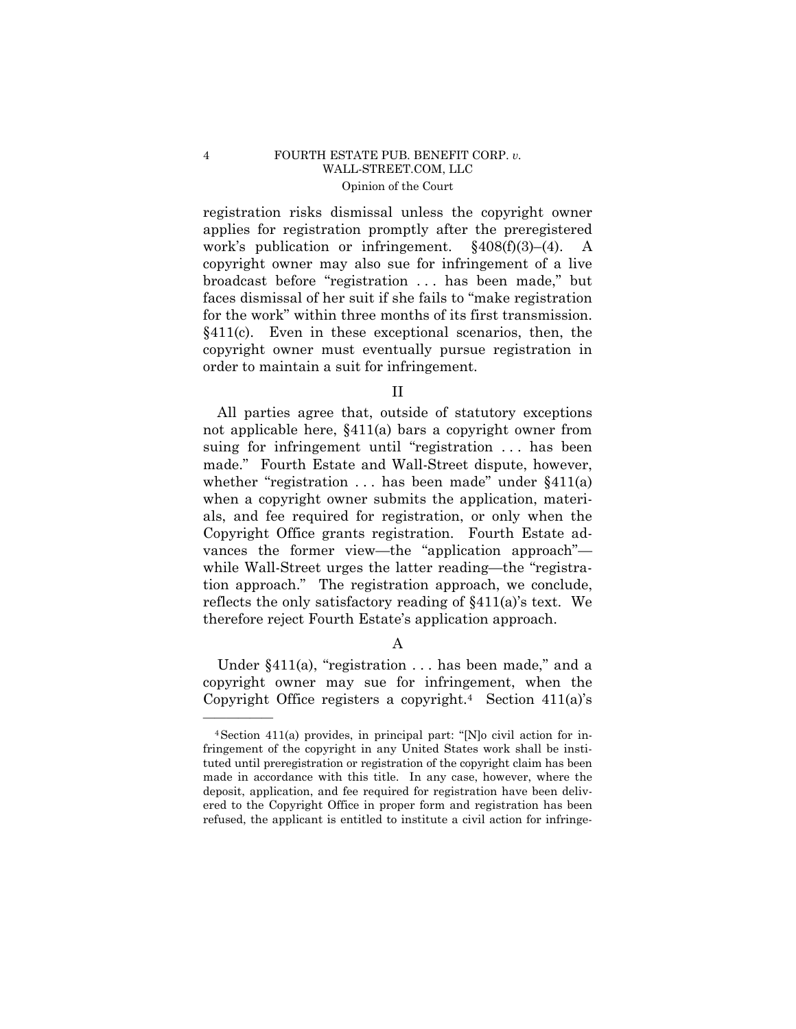## 4 FOURTH ESTATE PUB. BENEFIT CORP. *v.*  [WALL-STREET.COM](https://WALL-STREET.COM), LLC Opinion of the Court

registration risks dismissal unless the copyright owner applies for registration promptly after the preregistered work's publication or infringement. §408(f)(3)–(4). A copyright owner may also sue for infringement of a live broadcast before "registration . . . has been made," but faces dismissal of her suit if she fails to "make registration for the work" within three months of its first transmission. §411(c). Even in these exceptional scenarios, then, the copyright owner must eventually pursue registration in order to maintain a suit for infringement.

II

All parties agree that, outside of statutory exceptions not applicable here, §411(a) bars a copyright owner from suing for infringement until "registration ... has been made." Fourth Estate and Wall-Street dispute, however, whether "registration  $\dots$  has been made" under  $\S 411(a)$ when a copyright owner submits the application, materials, and fee required for registration, or only when the Copyright Office grants registration. Fourth Estate advances the former view—the "application approach" while Wall-Street urges the latter reading—the "registration approach." The registration approach, we conclude, reflects the only satisfactory reading of §411(a)'s text. We therefore reject Fourth Estate's application approach.

A

Under §411(a), "registration . . . has been made," and a copyright owner may sue for infringement, when the Copyright Office registers a copyright.<sup>4</sup> Section  $411(a)$ 's

<sup>4</sup>Section 411(a) provides, in principal part: "[N]o civil action for infringement of the copyright in any United States work shall be instituted until preregistration or registration of the copyright claim has been made in accordance with this title. In any case, however, where the deposit, application, and fee required for registration have been delivered to the Copyright Office in proper form and registration has been refused, the applicant is entitled to institute a civil action for infringe-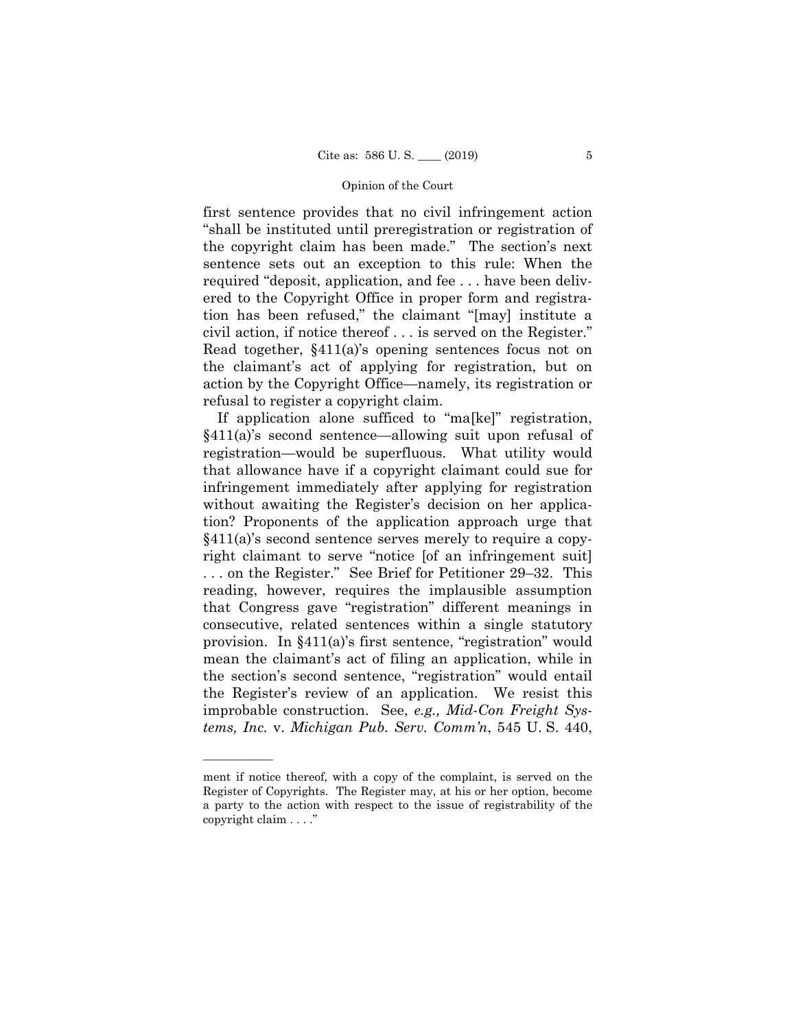first sentence provides that no civil infringement action "shall be instituted until preregistration or registration of the copyright claim has been made." The section's next sentence sets out an exception to this rule: When the required "deposit, application, and fee . . . have been delivered to the Copyright Office in proper form and registration has been refused," the claimant "[may] institute a civil action, if notice thereof . . . is served on the Register." Read together, §411(a)'s opening sentences focus not on the claimant's act of applying for registration, but on action by the Copyright Office—namely, its registration or refusal to register a copyright claim.

If application alone sufficed to "ma[ke]" registration, §411(a)'s second sentence—allowing suit upon refusal of registration—would be superfluous. What utility would that allowance have if a copyright claimant could sue for infringement immediately after applying for registration without awaiting the Register's decision on her application? Proponents of the application approach urge that §411(a)'s second sentence serves merely to require a copyright claimant to serve "notice [of an infringement suit] . . . on the Register." See Brief for Petitioner 29–32. This reading, however, requires the implausible assumption that Congress gave "registration" different meanings in consecutive, related sentences within a single statutory provision. In §411(a)'s first sentence, "registration" would mean the claimant's act of filing an application, while in the section's second sentence, "registration" would entail the Register's review of an application. We resist this improbable construction. See, *e.g., Mid-Con Freight Systems, Inc.* v. *Michigan Pub. Serv. Comm'n*, 545 U. S. 440,

ment if notice thereof, with a copy of the complaint, is served on the Register of Copyrights. The Register may, at his or her option, become a party to the action with respect to the issue of registrability of the copyright claim . . . ."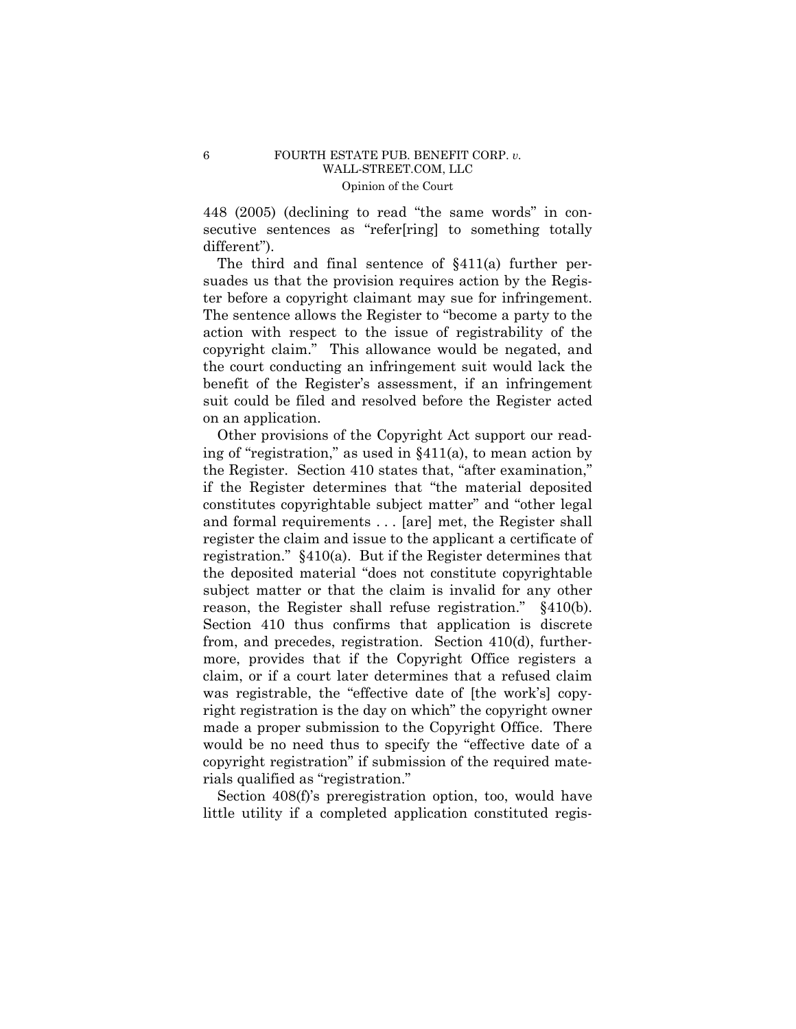448 (2005) (declining to read "the same words" in consecutive sentences as "refer[ring] to something totally different").

The third and final sentence of §411(a) further persuades us that the provision requires action by the Register before a copyright claimant may sue for infringement. The sentence allows the Register to "become a party to the action with respect to the issue of registrability of the copyright claim." This allowance would be negated, and the court conducting an infringement suit would lack the benefit of the Register's assessment, if an infringement suit could be filed and resolved before the Register acted on an application.

Other provisions of the Copyright Act support our reading of "registration," as used in §411(a), to mean action by the Register. Section 410 states that, "after examination," if the Register determines that "the material deposited constitutes copyrightable subject matter" and "other legal and formal requirements . . . [are] met, the Register shall register the claim and issue to the applicant a certificate of registration." §410(a). But if the Register determines that the deposited material "does not constitute copyrightable subject matter or that the claim is invalid for any other reason, the Register shall refuse registration." §410(b). Section 410 thus confirms that application is discrete from, and precedes, registration. Section 410(d), furthermore, provides that if the Copyright Office registers a claim, or if a court later determines that a refused claim was registrable, the "effective date of [the work's] copyright registration is the day on which" the copyright owner made a proper submission to the Copyright Office. There would be no need thus to specify the "effective date of a copyright registration" if submission of the required materials qualified as "registration."

Section 408(f)'s preregistration option, too, would have little utility if a completed application constituted regis-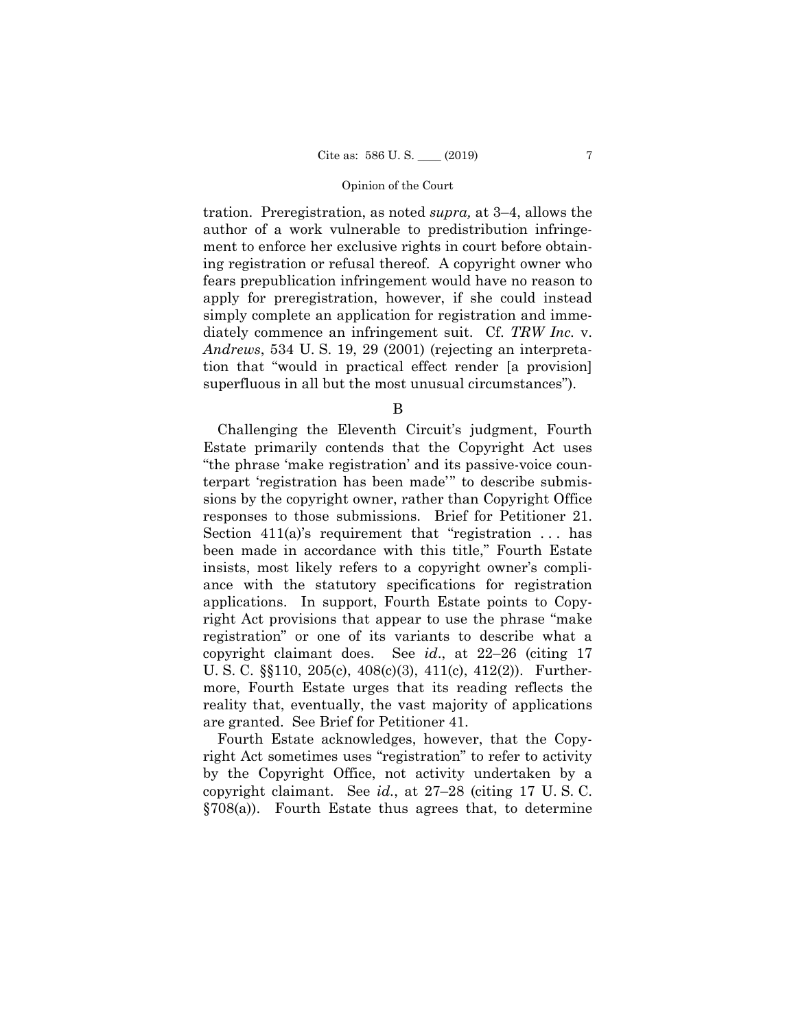tration. Preregistration, as noted *supra,* at 3–4, allows the author of a work vulnerable to predistribution infringement to enforce her exclusive rights in court before obtaining registration or refusal thereof. A copyright owner who fears prepublication infringement would have no reason to apply for preregistration, however, if she could instead simply complete an application for registration and immediately commence an infringement suit. Cf. *TRW Inc.* v. *Andrews*, 534 U. S. 19, 29 (2001) (rejecting an interpretation that "would in practical effect render [a provision] superfluous in all but the most unusual circumstances").

B

 responses to those submissions. Brief for Petitioner 21. Challenging the Eleventh Circuit's judgment, Fourth Estate primarily contends that the Copyright Act uses "the phrase 'make registration' and its passive-voice counterpart 'registration has been made'" to describe submissions by the copyright owner, rather than Copyright Office Section  $411(a)$ 's requirement that "registration ... has been made in accordance with this title," Fourth Estate insists, most likely refers to a copyright owner's compliance with the statutory specifications for registration applications. In support, Fourth Estate points to Copyright Act provisions that appear to use the phrase "make registration" or one of its variants to describe what a copyright claimant does. See *id*., at 22–26 (citing 17 U. S. C. §§110, 205(c), 408(c)(3), 411(c), 412(2)). Furthermore, Fourth Estate urges that its reading reflects the reality that, eventually, the vast majority of applications are granted. See Brief for Petitioner 41.

Fourth Estate acknowledges, however, that the Copyright Act sometimes uses "registration" to refer to activity by the Copyright Office, not activity undertaken by a copyright claimant. See *id.*, at 27–28 (citing 17 U. S. C. §708(a)). Fourth Estate thus agrees that, to determine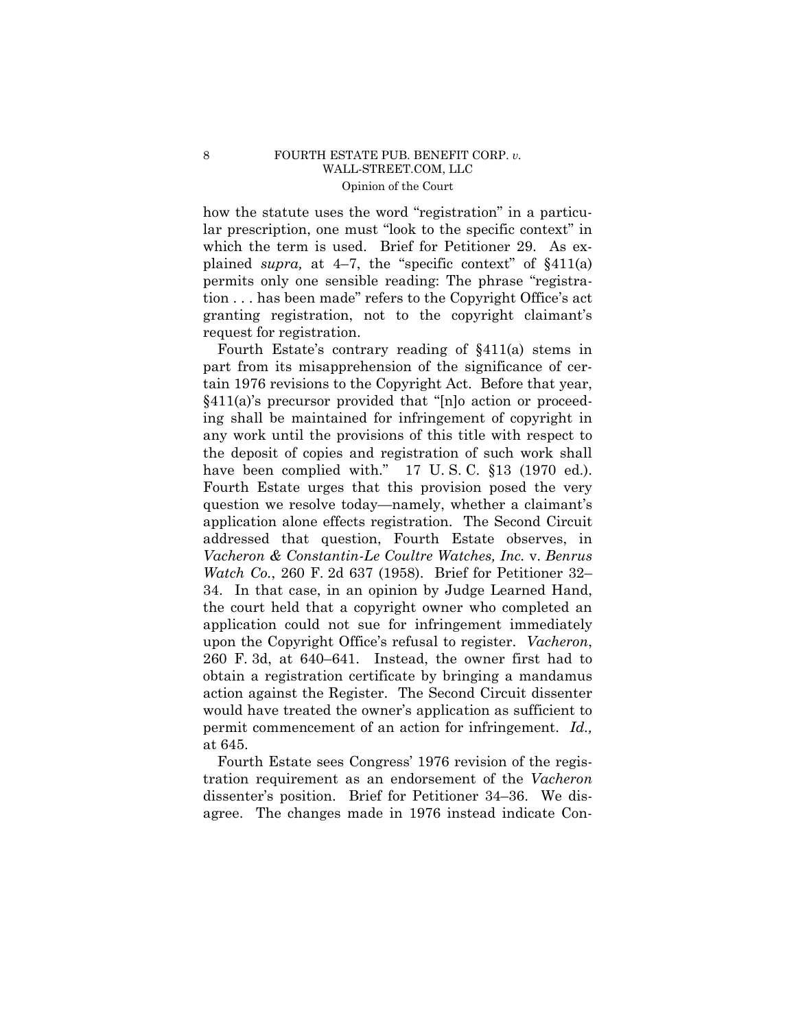## 8 FOURTH ESTATE PUB. BENEFIT CORP. *v.* [WALL-STREET.COM](https://WALL-STREET.COM), LLC Opinion of the Court

how the statute uses the word "registration" in a particular prescription, one must "look to the specific context" in which the term is used. Brief for Petitioner 29. As explained *supra,* at 4–7, the "specific context" of §411(a) permits only one sensible reading: The phrase "registration . . . has been made" refers to the Copyright Office's act granting registration, not to the copyright claimant's request for registration.

 260 F. 3d, at 640–641. Instead, the owner first had to Fourth Estate's contrary reading of §411(a) stems in part from its misapprehension of the significance of certain 1976 revisions to the Copyright Act. Before that year, §411(a)'s precursor provided that "[n]o action or proceeding shall be maintained for infringement of copyright in any work until the provisions of this title with respect to the deposit of copies and registration of such work shall have been complied with." 17 U.S.C. §13 (1970 ed.). Fourth Estate urges that this provision posed the very question we resolve today—namely, whether a claimant's application alone effects registration. The Second Circuit addressed that question, Fourth Estate observes, in *Vacheron & Constantin-Le Coultre Watches, Inc.* v. *Benrus Watch Co.*, 260 F. 2d 637 (1958). Brief for Petitioner 32– 34. In that case, in an opinion by Judge Learned Hand, the court held that a copyright owner who completed an application could not sue for infringement immediately upon the Copyright Office's refusal to register. *Vacheron*, obtain a registration certificate by bringing a mandamus action against the Register. The Second Circuit dissenter would have treated the owner's application as sufficient to permit commencement of an action for infringement. *Id.,*  at 645.

Fourth Estate sees Congress' 1976 revision of the registration requirement as an endorsement of the *Vacheron*  dissenter's position. Brief for Petitioner 34–36. We disagree. The changes made in 1976 instead indicate Con-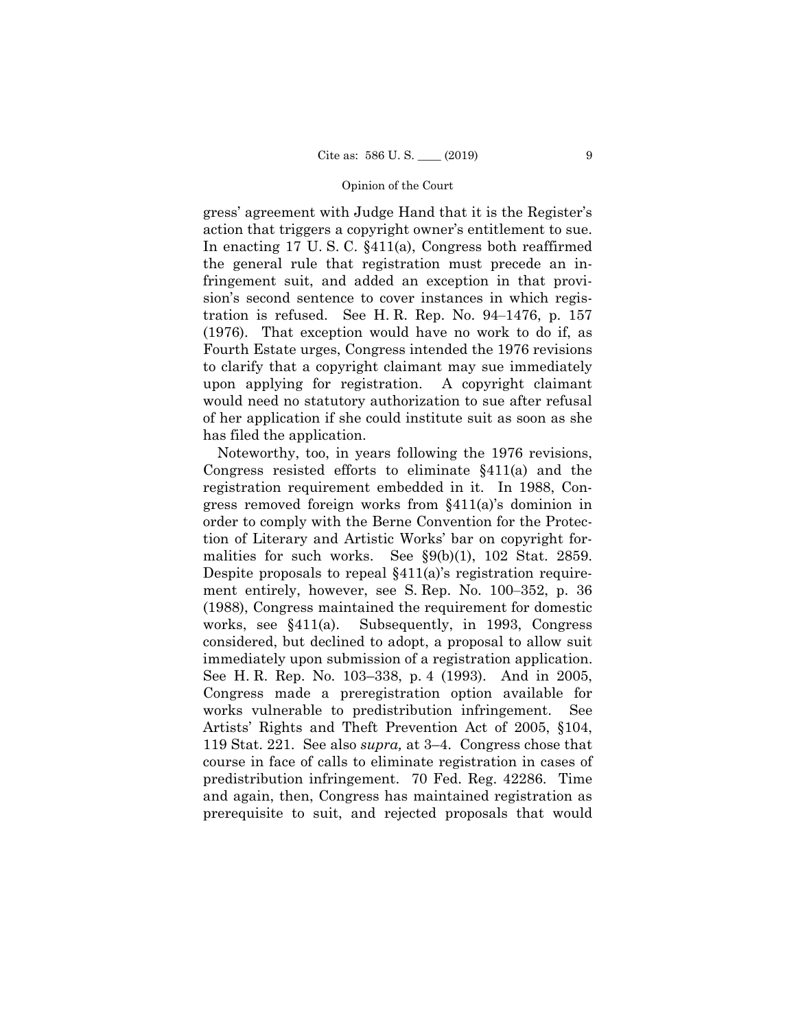gress' agreement with Judge Hand that it is the Register's action that triggers a copyright owner's entitlement to sue. In enacting 17 U. S. C. §411(a), Congress both reaffirmed the general rule that registration must precede an infringement suit, and added an exception in that provision's second sentence to cover instances in which registration is refused. See H.R. Rep. No.  $94-1476$ , p.  $157$ (1976). That exception would have no work to do if, as Fourth Estate urges, Congress intended the 1976 revisions to clarify that a copyright claimant may sue immediately upon applying for registration. A copyright claimant would need no statutory authorization to sue after refusal of her application if she could institute suit as soon as she has filed the application.

Noteworthy, too, in years following the 1976 revisions, Congress resisted efforts to eliminate §411(a) and the registration requirement embedded in it. In 1988, Congress removed foreign works from §411(a)'s dominion in order to comply with the Berne Convention for the Protection of Literary and Artistic Works' bar on copyright formalities for such works. See §9(b)(1), 102 Stat. 2859. Despite proposals to repeal §411(a)'s registration requirement entirely, however, see S. Rep. No. 100–352, p. 36 (1988), Congress maintained the requirement for domestic works, see §411(a). Subsequently, in 1993, Congress considered, but declined to adopt, a proposal to allow suit immediately upon submission of a registration application. See H. R. Rep. No. 103–338, p. 4 (1993). And in 2005, Congress made a preregistration option available for works vulnerable to predistribution infringement. See Artists' Rights and Theft Prevention Act of 2005, §104, 119 Stat. 221. See also *supra,* at 3–4. Congress chose that course in face of calls to eliminate registration in cases of predistribution infringement. 70 Fed. Reg. 42286. Time and again, then, Congress has maintained registration as prerequisite to suit, and rejected proposals that would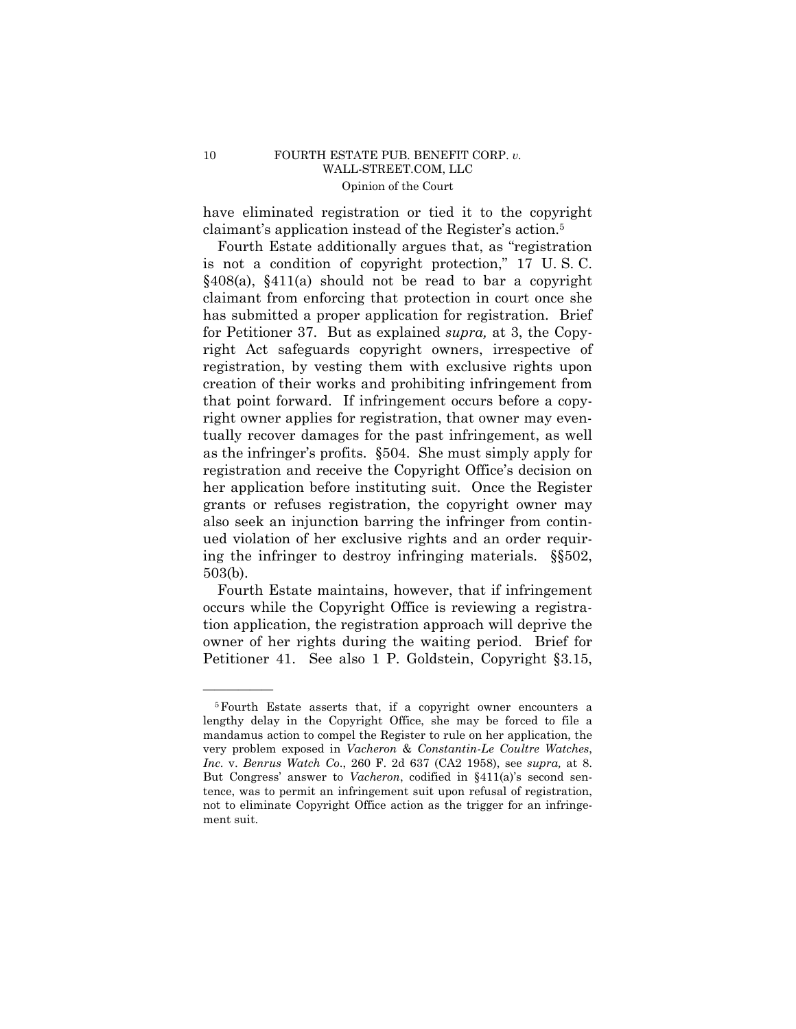## 10 FOURTH ESTATE PUB. BENEFIT CORP. *v.* [WALL-STREET.COM](https://WALL-STREET.COM), LLC Opinion of the Court

have eliminated registration or tied it to the copyright claimant's application instead of the Register's action.5

Fourth Estate additionally argues that, as "registration is not a condition of copyright protection," 17 U. S. C. §408(a), §411(a) should not be read to bar a copyright claimant from enforcing that protection in court once she has submitted a proper application for registration. Brief for Petitioner 37. But as explained *supra,* at 3, the Copyright Act safeguards copyright owners, irrespective of registration, by vesting them with exclusive rights upon creation of their works and prohibiting infringement from that point forward. If infringement occurs before a copyright owner applies for registration, that owner may eventually recover damages for the past infringement, as well as the infringer's profits. §504. She must simply apply for registration and receive the Copyright Office's decision on her application before instituting suit. Once the Register grants or refuses registration, the copyright owner may also seek an injunction barring the infringer from continued violation of her exclusive rights and an order requiring the infringer to destroy infringing materials. §§502, 503(b).

Fourth Estate maintains, however, that if infringement occurs while the Copyright Office is reviewing a registration application, the registration approach will deprive the owner of her rights during the waiting period. Brief for Petitioner 41. See also 1 P. Goldstein, Copyright §3.15,

Inc. v. Benrus Watch Co., 260 F. 2d 637 (CA2 1958), see supra, at 8. 5Fourth Estate asserts that, if a copyright owner encounters a lengthy delay in the Copyright Office, she may be forced to file a mandamus action to compel the Register to rule on her application, the very problem exposed in *Vacheron* & *Constantin-Le Coultre Watches*, *But Congress'* answer to *Vacheron*, codified in §411(a)'s second sentence, was to permit an infringement suit upon refusal of registration, not to eliminate Copyright Office action as the trigger for an infringement suit.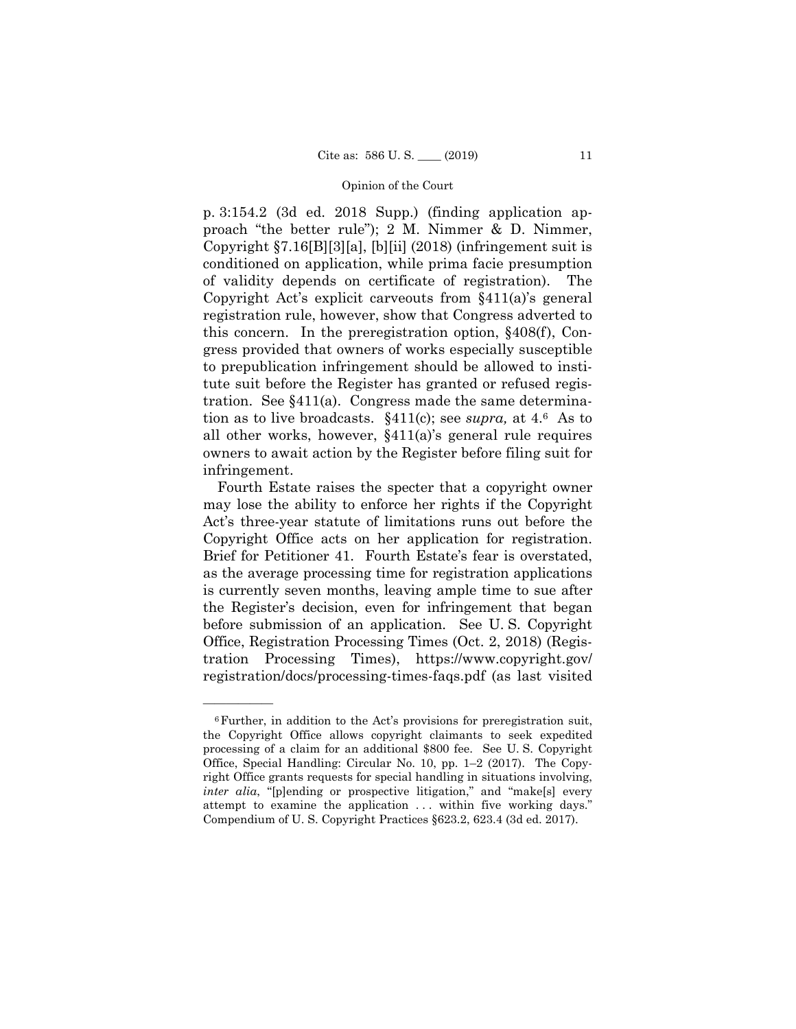p. 3:154.2 (3d ed. 2018 Supp.) (finding application approach "the better rule"); 2 M. Nimmer & D. Nimmer, Copyright §7.16[B][3][a], [b][ii] (2018) (infringement suit is conditioned on application, while prima facie presumption of validity depends on certificate of registration). The Copyright Act's explicit carveouts from §411(a)'s general registration rule, however, show that Congress adverted to this concern. In the preregistration option, §408(f), Congress provided that owners of works especially susceptible to prepublication infringement should be allowed to institute suit before the Register has granted or refused registration. See §411(a). Congress made the same determination as to live broadcasts. §411(c); see *supra,* at 4.6 As to all other works, however, §411(a)'s general rule requires owners to await action by the Register before filing suit for infringement.

 may lose the ability to enforce her rights if the Copyright Copyright Office acts on her application for registration. Office, Registration Processing Times (Oct. 2, 2018) (Regis-Fourth Estate raises the specter that a copyright owner Act's three-year statute of limitations runs out before the Brief for Petitioner 41. Fourth Estate's fear is overstated, as the average processing time for registration applications is currently seven months, leaving ample time to sue after the Register's decision, even for infringement that began before submission of an application. See U. S. Copyright tration Processing Times), [https://www.copyright.gov/](https://www.copyright.gov) registration/docs/processing-times-faqs.pdf (as last visited

<sup>6</sup>Further, in addition to the Act's provisions for preregistration suit, the Copyright Office allows copyright claimants to seek expedited processing of a claim for an additional \$800 fee. See U. S. Copyright Office, Special Handling: Circular No. 10, pp. 1–2 (2017). The Copyright Office grants requests for special handling in situations involving, *inter alia*, "[p]ending or prospective litigation," and "make[s] every attempt to examine the application ... within five working days." Compendium of U. S. Copyright Practices §623.2, 623.4 (3d ed. 2017).